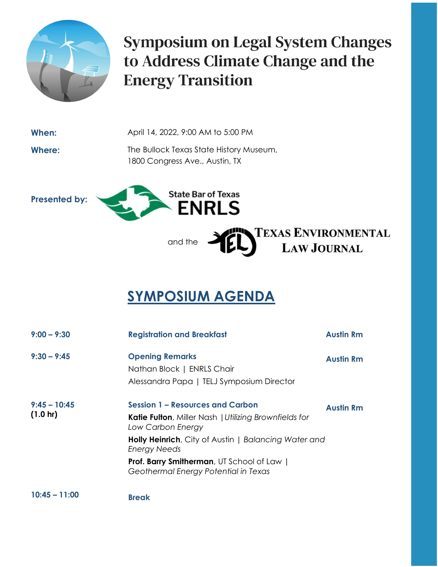

**Symposium on Legal System Changes** to Address Climate Change and the **Energy Transition** 

TEXAS ENVIRONMENTAL<br>LAW JOURNAL

**When:** April 14, 2022, 9:00 AM to 5:00 PM

Where: The Bullock Texas State History Museum, 1800 Congress Ave., Austin, TX

Presented by:



and the  $\rightarrow$ 

## SYMPOSIUM AGENDA

肥い

| $9:00 - 9:30$               | <b>Registration and Breakfast</b>                                                                                            | <b>Austin Rm</b> |  |
|-----------------------------|------------------------------------------------------------------------------------------------------------------------------|------------------|--|
| $9:30 - 9:45$               | <b>Opening Remarks</b><br>Nathan Block   ENRLS Chair<br>Alessandra Papa   TELJ Symposium Director                            | <b>Austin Rm</b> |  |
| $9:45 - 10:45$<br>(1.0 h r) | <b>Session 1 - Resources and Carbon</b><br><b>Katie Fulton, Miller Nash   Utilizing Brownfields for</b><br>Low Carbon Energy | <b>Austin Rm</b> |  |
|                             | <b>Holly Heinrich</b> , City of Austin   Balancing Water and<br><b>Energy Needs</b>                                          |                  |  |
|                             | <b>Prof. Barry Smitherman</b> , UT School of Law  <br>Geothermal Energy Potential in Texas                                   |                  |  |
| 10.4E<br>11.00              |                                                                                                                              |                  |  |

10:45 – 11:00 Break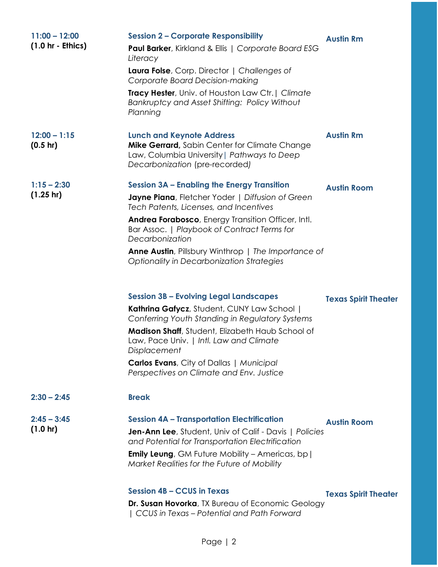| $11:00 - 12:00$<br>$(1.0 hr - Ethics)$ | <b>Session 2 - Corporate Responsibility</b><br>Paul Barker, Kirkland & Ellis   Corporate Board ESG<br>Literacy<br>Laura Folse, Corp. Director   Challenges of<br><b>Corporate Board Decision-making</b><br>Tracy Hester, Univ. of Houston Law Ctr.   Climate<br>Bankruptcy and Asset Shifting: Policy Without<br>Planning                                                                                                                                                                                                                                                                                                                                                                                                                                     | <b>Austin Rm</b>                                  |
|----------------------------------------|---------------------------------------------------------------------------------------------------------------------------------------------------------------------------------------------------------------------------------------------------------------------------------------------------------------------------------------------------------------------------------------------------------------------------------------------------------------------------------------------------------------------------------------------------------------------------------------------------------------------------------------------------------------------------------------------------------------------------------------------------------------|---------------------------------------------------|
| $12:00 - 1:15$<br>$(0.5 \text{ hr})$   | <b>Lunch and Keynote Address</b><br>Mike Gerrard, Sabin Center for Climate Change<br>Law, Columbia University   Pathways to Deep<br>Decarbonization (pre-recorded)                                                                                                                                                                                                                                                                                                                                                                                                                                                                                                                                                                                            | <b>Austin Rm</b>                                  |
| $1:15 - 2:30$<br>$(1.25 \text{ hr})$   | <b>Session 3A - Enabling the Energy Transition</b><br>Jayne Piana, Fletcher Yoder   Diffusion of Green<br>Tech Patents, Licenses, and Incentives<br>Andrea Forabosco, Energy Transition Officer, Intl.<br>Bar Assoc.   Playbook of Contract Terms for<br>Decarbonization<br><b>Anne Austin</b> , Pillsbury Winthrop   The Importance of<br><b>Optionality in Decarbonization Strategies</b><br><b>Session 3B - Evolving Legal Landscapes</b><br>Kathrina Gafycz, Student, CUNY Law School  <br>Conferring Youth Standing in Regulatory Systems<br>Madison Shaff, Student, Elizabeth Haub School of<br>Law, Pace Univ.   Intl. Law and Climate<br>Displacement<br><b>Carlos Evans</b> , City of Dallas   Municipal<br>Perspectives on Climate and Env. Justice | <b>Austin Room</b><br><b>Texas Spirit Theater</b> |
| $2:30 - 2:45$<br>$2:45 - 3:45$         | <b>Break</b><br><b>Session 4A - Transportation Electrification</b>                                                                                                                                                                                                                                                                                                                                                                                                                                                                                                                                                                                                                                                                                            | <b>Austin Room</b>                                |
| $(1.0 \text{ hr})$                     | <b>Jen-Ann Lee</b> , Student, Univ of Calif - Davis   Policies<br>and Potential for Transportation Electrification<br><b>Emily Leung</b> , GM Future Mobility - Americas, bp  <br>Market Realities for the Future of Mobility                                                                                                                                                                                                                                                                                                                                                                                                                                                                                                                                 |                                                   |

## Session 4B – CCUS in Texas

Texas Spirit Theater

Dr. Susan Hovorka, TX Bureau of Economic Geology | CCUS in Texas – Potential and Path Forward